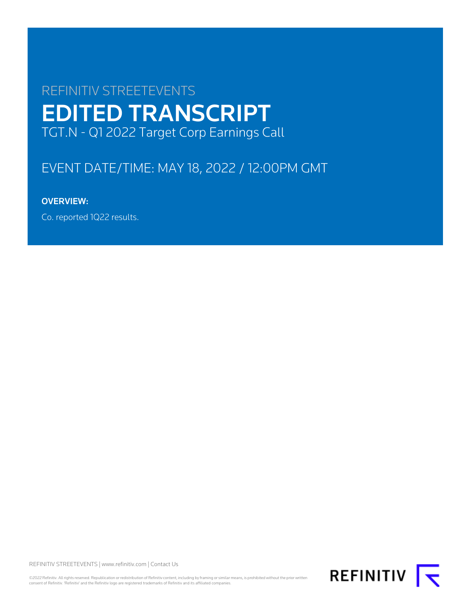# REFINITIV STREETEVENTS EDITED TRANSCRIPT TGT.N - Q1 2022 Target Corp Earnings Call

# EVENT DATE/TIME: MAY 18, 2022 / 12:00PM GMT

# OVERVIEW:

Co. reported 1Q22 results.

REFINITIV STREETEVENTS | [www.refinitiv.com](https://www.refinitiv.com/) | [Contact Us](https://www.refinitiv.com/en/contact-us)

©2022 Refinitiv. All rights reserved. Republication or redistribution of Refinitiv content, including by framing or similar means, is prohibited without the prior written<br>consent of Refinitiv. 'Refinitiv' and the Refinitiv

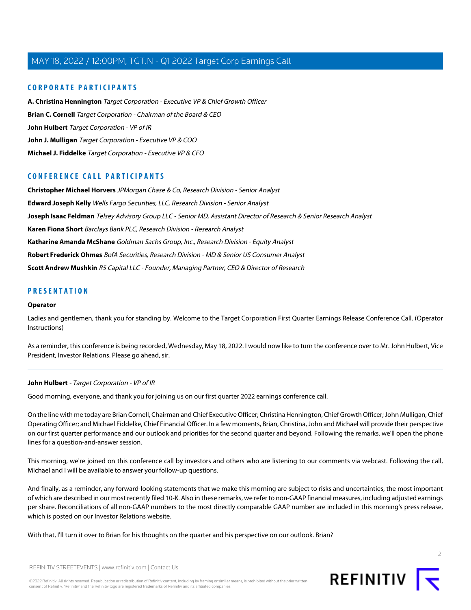### **CORPORATE PARTICIPANTS**

**[A. Christina Hennington](#page-4-0)** Target Corporation - Executive VP & Chief Growth Officer **[Brian C. Cornell](#page-2-0)** Target Corporation - Chairman of the Board & CEO **[John Hulbert](#page-1-0)** Target Corporation - VP of IR **[John J. Mulligan](#page-6-0)** Target Corporation - Executive VP & COO **[Michael J. Fiddelke](#page-8-0)** Target Corporation - Executive VP & CFO

### **CONFERENCE CALL PARTICIPANTS**

**[Christopher Michael Horvers](#page-11-0)** JPMorgan Chase & Co, Research Division - Senior Analyst **[Edward Joseph Kelly](#page-15-0)** Wells Fargo Securities, LLC, Research Division - Senior Analyst **[Joseph Isaac Feldman](#page-14-0)** Telsey Advisory Group LLC - Senior MD, Assistant Director of Research & Senior Research Analyst **[Karen Fiona Short](#page-12-0)** Barclays Bank PLC, Research Division - Research Analyst **[Katharine Amanda McShane](#page-13-0)** Goldman Sachs Group, Inc., Research Division - Equity Analyst **[Robert Frederick Ohmes](#page-16-0)** BofA Securities, Research Division - MD & Senior US Consumer Analyst **[Scott Andrew Mushkin](#page-13-1)** R5 Capital LLC - Founder, Managing Partner, CEO & Director of Research

### **PRESENTATION**

#### **Operator**

Ladies and gentlemen, thank you for standing by. Welcome to the Target Corporation First Quarter Earnings Release Conference Call. (Operator Instructions)

<span id="page-1-0"></span>As a reminder, this conference is being recorded, Wednesday, May 18, 2022. I would now like to turn the conference over to Mr. John Hulbert, Vice President, Investor Relations. Please go ahead, sir.

#### **John Hulbert** - Target Corporation - VP of IR

Good morning, everyone, and thank you for joining us on our first quarter 2022 earnings conference call.

On the line with me today are Brian Cornell, Chairman and Chief Executive Officer; Christina Hennington, Chief Growth Officer; John Mulligan, Chief Operating Officer; and Michael Fiddelke, Chief Financial Officer. In a few moments, Brian, Christina, John and Michael will provide their perspective on our first quarter performance and our outlook and priorities for the second quarter and beyond. Following the remarks, we'll open the phone lines for a question-and-answer session.

This morning, we're joined on this conference call by investors and others who are listening to our comments via webcast. Following the call, Michael and I will be available to answer your follow-up questions.

And finally, as a reminder, any forward-looking statements that we make this morning are subject to risks and uncertainties, the most important of which are described in our most recently filed 10-K. Also in these remarks, we refer to non-GAAP financial measures, including adjusted earnings per share. Reconciliations of all non-GAAP numbers to the most directly comparable GAAP number are included in this morning's press release, which is posted on our Investor Relations website.

With that, I'll turn it over to Brian for his thoughts on the quarter and his perspective on our outlook. Brian?

 $\overline{2}$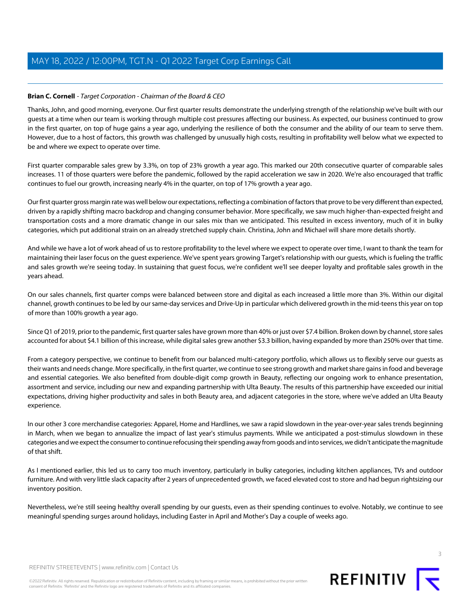### <span id="page-2-0"></span>**Brian C. Cornell** - Target Corporation - Chairman of the Board & CEO

Thanks, John, and good morning, everyone. Our first quarter results demonstrate the underlying strength of the relationship we've built with our guests at a time when our team is working through multiple cost pressures affecting our business. As expected, our business continued to grow in the first quarter, on top of huge gains a year ago, underlying the resilience of both the consumer and the ability of our team to serve them. However, due to a host of factors, this growth was challenged by unusually high costs, resulting in profitability well below what we expected to be and where we expect to operate over time.

First quarter comparable sales grew by 3.3%, on top of 23% growth a year ago. This marked our 20th consecutive quarter of comparable sales increases. 11 of those quarters were before the pandemic, followed by the rapid acceleration we saw in 2020. We're also encouraged that traffic continues to fuel our growth, increasing nearly 4% in the quarter, on top of 17% growth a year ago.

Our first quarter gross margin rate was well below our expectations, reflecting a combination of factors that prove to be very different than expected, driven by a rapidly shifting macro backdrop and changing consumer behavior. More specifically, we saw much higher-than-expected freight and transportation costs and a more dramatic change in our sales mix than we anticipated. This resulted in excess inventory, much of it in bulky categories, which put additional strain on an already stretched supply chain. Christina, John and Michael will share more details shortly.

And while we have a lot of work ahead of us to restore profitability to the level where we expect to operate over time, I want to thank the team for maintaining their laser focus on the guest experience. We've spent years growing Target's relationship with our guests, which is fueling the traffic and sales growth we're seeing today. In sustaining that guest focus, we're confident we'll see deeper loyalty and profitable sales growth in the years ahead.

On our sales channels, first quarter comps were balanced between store and digital as each increased a little more than 3%. Within our digital channel, growth continues to be led by our same-day services and Drive-Up in particular which delivered growth in the mid-teens this year on top of more than 100% growth a year ago.

Since Q1 of 2019, prior to the pandemic, first quarter sales have grown more than 40% or just over \$7.4 billion. Broken down by channel, store sales accounted for about \$4.1 billion of this increase, while digital sales grew another \$3.3 billion, having expanded by more than 250% over that time.

From a category perspective, we continue to benefit from our balanced multi-category portfolio, which allows us to flexibly serve our guests as their wants and needs change. More specifically, in the first quarter, we continue to see strong growth and market share gains in food and beverage and essential categories. We also benefited from double-digit comp growth in Beauty, reflecting our ongoing work to enhance presentation, assortment and service, including our new and expanding partnership with Ulta Beauty. The results of this partnership have exceeded our initial expectations, driving higher productivity and sales in both Beauty area, and adjacent categories in the store, where we've added an Ulta Beauty experience.

In our other 3 core merchandise categories: Apparel, Home and Hardlines, we saw a rapid slowdown in the year-over-year sales trends beginning in March, when we began to annualize the impact of last year's stimulus payments. While we anticipated a post-stimulus slowdown in these categories and we expect the consumer to continue refocusing their spending away from goods and into services, we didn't anticipate the magnitude of that shift.

As I mentioned earlier, this led us to carry too much inventory, particularly in bulky categories, including kitchen appliances, TVs and outdoor furniture. And with very little slack capacity after 2 years of unprecedented growth, we faced elevated cost to store and had begun rightsizing our inventory position.

Nevertheless, we're still seeing healthy overall spending by our guests, even as their spending continues to evolve. Notably, we continue to see meaningful spending surges around holidays, including Easter in April and Mother's Day a couple of weeks ago.

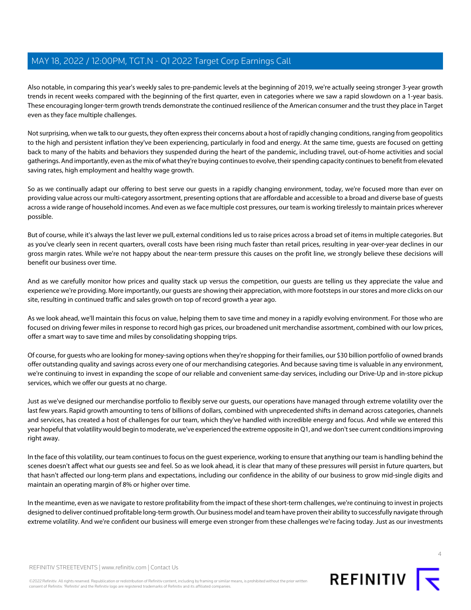Also notable, in comparing this year's weekly sales to pre-pandemic levels at the beginning of 2019, we're actually seeing stronger 3-year growth trends in recent weeks compared with the beginning of the first quarter, even in categories where we saw a rapid slowdown on a 1-year basis. These encouraging longer-term growth trends demonstrate the continued resilience of the American consumer and the trust they place in Target even as they face multiple challenges.

Not surprising, when we talk to our guests, they often express their concerns about a host of rapidly changing conditions, ranging from geopolitics to the high and persistent inflation they've been experiencing, particularly in food and energy. At the same time, guests are focused on getting back to many of the habits and behaviors they suspended during the heart of the pandemic, including travel, out-of-home activities and social gatherings. And importantly, even as the mix of what they're buying continues to evolve, their spending capacity continues to benefit from elevated saving rates, high employment and healthy wage growth.

So as we continually adapt our offering to best serve our guests in a rapidly changing environment, today, we're focused more than ever on providing value across our multi-category assortment, presenting options that are affordable and accessible to a broad and diverse base of guests across a wide range of household incomes. And even as we face multiple cost pressures, our team is working tirelessly to maintain prices wherever possible.

But of course, while it's always the last lever we pull, external conditions led us to raise prices across a broad set of items in multiple categories. But as you've clearly seen in recent quarters, overall costs have been rising much faster than retail prices, resulting in year-over-year declines in our gross margin rates. While we're not happy about the near-term pressure this causes on the profit line, we strongly believe these decisions will benefit our business over time.

And as we carefully monitor how prices and quality stack up versus the competition, our guests are telling us they appreciate the value and experience we're providing. More importantly, our guests are showing their appreciation, with more footsteps in our stores and more clicks on our site, resulting in continued traffic and sales growth on top of record growth a year ago.

As we look ahead, we'll maintain this focus on value, helping them to save time and money in a rapidly evolving environment. For those who are focused on driving fewer miles in response to record high gas prices, our broadened unit merchandise assortment, combined with our low prices, offer a smart way to save time and miles by consolidating shopping trips.

Of course, for guests who are looking for money-saving options when they're shopping for their families, our \$30 billion portfolio of owned brands offer outstanding quality and savings across every one of our merchandising categories. And because saving time is valuable in any environment, we're continuing to invest in expanding the scope of our reliable and convenient same-day services, including our Drive-Up and in-store pickup services, which we offer our guests at no charge.

Just as we've designed our merchandise portfolio to flexibly serve our guests, our operations have managed through extreme volatility over the last few years. Rapid growth amounting to tens of billions of dollars, combined with unprecedented shifts in demand across categories, channels and services, has created a host of challenges for our team, which they've handled with incredible energy and focus. And while we entered this year hopeful that volatility would begin to moderate, we've experienced the extreme opposite in Q1, and we don't see current conditions improving right away.

In the face of this volatility, our team continues to focus on the guest experience, working to ensure that anything our team is handling behind the scenes doesn't affect what our guests see and feel. So as we look ahead, it is clear that many of these pressures will persist in future quarters, but that hasn't affected our long-term plans and expectations, including our confidence in the ability of our business to grow mid-single digits and maintain an operating margin of 8% or higher over time.

In the meantime, even as we navigate to restore profitability from the impact of these short-term challenges, we're continuing to invest in projects designed to deliver continued profitable long-term growth. Our business model and team have proven their ability to successfully navigate through extreme volatility. And we're confident our business will emerge even stronger from these challenges we're facing today. Just as our investments

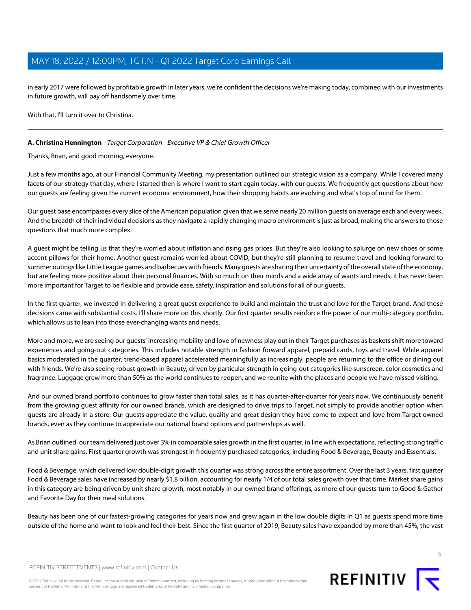in early 2017 were followed by profitable growth in later years, we're confident the decisions we're making today, combined with our investments in future growth, will pay off handsomely over time.

With that, I'll turn it over to Christina.

### <span id="page-4-0"></span>**A. Christina Hennington** - Target Corporation - Executive VP & Chief Growth Officer

Thanks, Brian, and good morning, everyone.

Just a few months ago, at our Financial Community Meeting, my presentation outlined our strategic vision as a company. While I covered many facets of our strategy that day, where I started then is where I want to start again today, with our guests. We frequently get questions about how our guests are feeling given the current economic environment, how their shopping habits are evolving and what's top of mind for them.

Our guest base encompasses every slice of the American population given that we serve nearly 20 million guests on average each and every week. And the breadth of their individual decisions as they navigate a rapidly changing macro environment is just as broad, making the answers to those questions that much more complex.

A guest might be telling us that they're worried about inflation and rising gas prices. But they're also looking to splurge on new shoes or some accent pillows for their home. Another guest remains worried about COVID, but they're still planning to resume travel and looking forward to summer outings like Little League games and barbecues with friends. Many guests are sharing their uncertainty of the overall state of the economy, but are feeling more positive about their personal finances. With so much on their minds and a wide array of wants and needs, it has never been more important for Target to be flexible and provide ease, safety, inspiration and solutions for all of our guests.

In the first quarter, we invested in delivering a great guest experience to build and maintain the trust and love for the Target brand. And those decisions came with substantial costs. I'll share more on this shortly. Our first quarter results reinforce the power of our multi-category portfolio, which allows us to lean into those ever-changing wants and needs.

More and more, we are seeing our guests' increasing mobility and love of newness play out in their Target purchases as baskets shift more toward experiences and going-out categories. This includes notable strength in fashion forward apparel, prepaid cards, toys and travel. While apparel basics moderated in the quarter, trend-based apparel accelerated meaningfully as increasingly, people are returning to the office or dining out with friends. We're also seeing robust growth in Beauty, driven by particular strength in going-out categories like sunscreen, color cosmetics and fragrance. Luggage grew more than 50% as the world continues to reopen, and we reunite with the places and people we have missed visiting.

And our owned brand portfolio continues to grow faster than total sales, as it has quarter-after-quarter for years now. We continuously benefit from the growing guest affinity for our owned brands, which are designed to drive trips to Target, not simply to provide another option when guests are already in a store. Our guests appreciate the value, quality and great design they have come to expect and love from Target owned brands, even as they continue to appreciate our national brand options and partnerships as well.

As Brian outlined, our team delivered just over 3% in comparable sales growth in the first quarter, in line with expectations, reflecting strong traffic and unit share gains. First quarter growth was strongest in frequently purchased categories, including Food & Beverage, Beauty and Essentials.

Food & Beverage, which delivered low double-digit growth this quarter was strong across the entire assortment. Over the last 3 years, first quarter Food & Beverage sales have increased by nearly \$1.8 billion, accounting for nearly 1/4 of our total sales growth over that time. Market share gains in this category are being driven by unit share growth, most notably in our owned brand offerings, as more of our guests turn to Good & Gather and Favorite Day for their meal solutions.

Beauty has been one of our fastest-growing categories for years now and grew again in the low double digits in Q1 as guests spend more time outside of the home and want to look and feel their best. Since the first quarter of 2019, Beauty sales have expanded by more than 45%, the vast

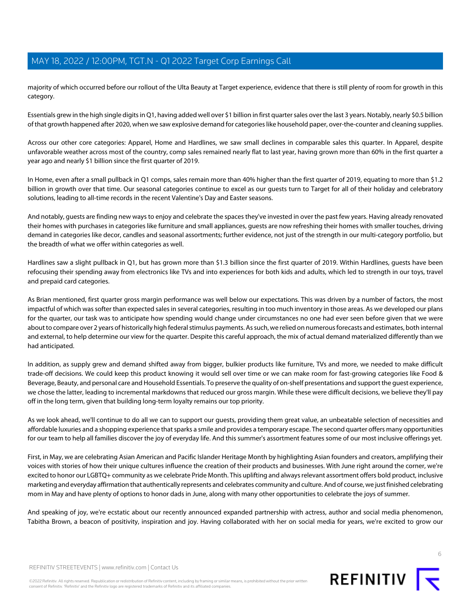majority of which occurred before our rollout of the Ulta Beauty at Target experience, evidence that there is still plenty of room for growth in this category.

Essentials grew in the high single digits in Q1, having added well over \$1 billion in first quarter sales over the last 3 years. Notably, nearly \$0.5 billion of that growth happened after 2020, when we saw explosive demand for categories like household paper, over-the-counter and cleaning supplies.

Across our other core categories: Apparel, Home and Hardlines, we saw small declines in comparable sales this quarter. In Apparel, despite unfavorable weather across most of the country, comp sales remained nearly flat to last year, having grown more than 60% in the first quarter a year ago and nearly \$1 billion since the first quarter of 2019.

In Home, even after a small pullback in Q1 comps, sales remain more than 40% higher than the first quarter of 2019, equating to more than \$1.2 billion in growth over that time. Our seasonal categories continue to excel as our guests turn to Target for all of their holiday and celebratory solutions, leading to all-time records in the recent Valentine's Day and Easter seasons.

And notably, guests are finding new ways to enjoy and celebrate the spaces they've invested in over the past few years. Having already renovated their homes with purchases in categories like furniture and small appliances, guests are now refreshing their homes with smaller touches, driving demand in categories like decor, candles and seasonal assortments; further evidence, not just of the strength in our multi-category portfolio, but the breadth of what we offer within categories as well.

Hardlines saw a slight pullback in Q1, but has grown more than \$1.3 billion since the first quarter of 2019. Within Hardlines, guests have been refocusing their spending away from electronics like TVs and into experiences for both kids and adults, which led to strength in our toys, travel and prepaid card categories.

As Brian mentioned, first quarter gross margin performance was well below our expectations. This was driven by a number of factors, the most impactful of which was softer than expected sales in several categories, resulting in too much inventory in those areas. As we developed our plans for the quarter, our task was to anticipate how spending would change under circumstances no one had ever seen before given that we were about to compare over 2 years of historically high federal stimulus payments. As such, we relied on numerous forecasts and estimates, both internal and external, to help determine our view for the quarter. Despite this careful approach, the mix of actual demand materialized differently than we had anticipated.

In addition, as supply grew and demand shifted away from bigger, bulkier products like furniture, TVs and more, we needed to make difficult trade-off decisions. We could keep this product knowing it would sell over time or we can make room for fast-growing categories like Food & Beverage, Beauty, and personal care and Household Essentials. To preserve the quality of on-shelf presentations and support the guest experience, we chose the latter, leading to incremental markdowns that reduced our gross margin. While these were difficult decisions, we believe they'll pay off in the long term, given that building long-term loyalty remains our top priority.

As we look ahead, we'll continue to do all we can to support our guests, providing them great value, an unbeatable selection of necessities and affordable luxuries and a shopping experience that sparks a smile and provides a temporary escape. The second quarter offers many opportunities for our team to help all families discover the joy of everyday life. And this summer's assortment features some of our most inclusive offerings yet.

First, in May, we are celebrating Asian American and Pacific Islander Heritage Month by highlighting Asian founders and creators, amplifying their voices with stories of how their unique cultures influence the creation of their products and businesses. With June right around the corner, we're excited to honor our LGBTQ+ community as we celebrate Pride Month. This uplifting and always relevant assortment offers bold product, inclusive marketing and everyday affirmation that authentically represents and celebrates community and culture. And of course, we just finished celebrating mom in May and have plenty of options to honor dads in June, along with many other opportunities to celebrate the joys of summer.

And speaking of joy, we're ecstatic about our recently announced expanded partnership with actress, author and social media phenomenon, Tabitha Brown, a beacon of positivity, inspiration and joy. Having collaborated with her on social media for years, we're excited to grow our

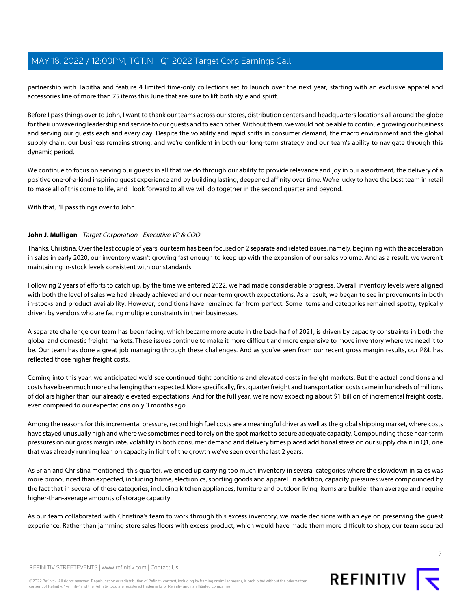partnership with Tabitha and feature 4 limited time-only collections set to launch over the next year, starting with an exclusive apparel and accessories line of more than 75 items this June that are sure to lift both style and spirit.

Before I pass things over to John, I want to thank our teams across our stores, distribution centers and headquarters locations all around the globe for their unwavering leadership and service to our guests and to each other. Without them, we would not be able to continue growing our business and serving our guests each and every day. Despite the volatility and rapid shifts in consumer demand, the macro environment and the global supply chain, our business remains strong, and we're confident in both our long-term strategy and our team's ability to navigate through this dynamic period.

We continue to focus on serving our quests in all that we do through our ability to provide relevance and joy in our assortment, the delivery of a positive one-of-a-kind inspiring guest experience and by building lasting, deepened affinity over time. We're lucky to have the best team in retail to make all of this come to life, and I look forward to all we will do together in the second quarter and beyond.

<span id="page-6-0"></span>With that, I'll pass things over to John.

### **John J. Mulligan** - Target Corporation - Executive VP & COO

Thanks, Christina. Over the last couple of years, our team has been focused on 2 separate and related issues, namely, beginning with the acceleration in sales in early 2020, our inventory wasn't growing fast enough to keep up with the expansion of our sales volume. And as a result, we weren't maintaining in-stock levels consistent with our standards.

Following 2 years of efforts to catch up, by the time we entered 2022, we had made considerable progress. Overall inventory levels were aligned with both the level of sales we had already achieved and our near-term growth expectations. As a result, we began to see improvements in both in-stocks and product availability. However, conditions have remained far from perfect. Some items and categories remained spotty, typically driven by vendors who are facing multiple constraints in their businesses.

A separate challenge our team has been facing, which became more acute in the back half of 2021, is driven by capacity constraints in both the global and domestic freight markets. These issues continue to make it more difficult and more expensive to move inventory where we need it to be. Our team has done a great job managing through these challenges. And as you've seen from our recent gross margin results, our P&L has reflected those higher freight costs.

Coming into this year, we anticipated we'd see continued tight conditions and elevated costs in freight markets. But the actual conditions and costs have been much more challenging than expected. More specifically, first quarter freight and transportation costs came in hundreds of millions of dollars higher than our already elevated expectations. And for the full year, we're now expecting about \$1 billion of incremental freight costs, even compared to our expectations only 3 months ago.

Among the reasons for this incremental pressure, record high fuel costs are a meaningful driver as well as the global shipping market, where costs have stayed unusually high and where we sometimes need to rely on the spot market to secure adequate capacity. Compounding these near-term pressures on our gross margin rate, volatility in both consumer demand and delivery times placed additional stress on our supply chain in Q1, one that was already running lean on capacity in light of the growth we've seen over the last 2 years.

As Brian and Christina mentioned, this quarter, we ended up carrying too much inventory in several categories where the slowdown in sales was more pronounced than expected, including home, electronics, sporting goods and apparel. In addition, capacity pressures were compounded by the fact that in several of these categories, including kitchen appliances, furniture and outdoor living, items are bulkier than average and require higher-than-average amounts of storage capacity.

As our team collaborated with Christina's team to work through this excess inventory, we made decisions with an eye on preserving the guest experience. Rather than jamming store sales floors with excess product, which would have made them more difficult to shop, our team secured

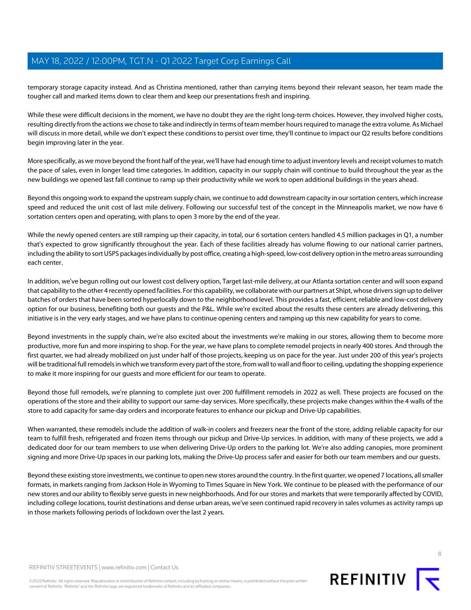temporary storage capacity instead. And as Christina mentioned, rather than carrying items beyond their relevant season, her team made the tougher call and marked items down to clear them and keep our presentations fresh and inspiring.

While these were difficult decisions in the moment, we have no doubt they are the right long-term choices. However, they involved higher costs, resulting directly from the actions we chose to take and indirectly in terms of team member hours required to manage the extra volume. As Michael will discuss in more detail, while we don't expect these conditions to persist over time, they'll continue to impact our Q2 results before conditions begin improving later in the year.

More specifically, as we move beyond the front half of the year, we'll have had enough time to adjust inventory levels and receipt volumes to match the pace of sales, even in longer lead time categories. In addition, capacity in our supply chain will continue to build throughout the year as the new buildings we opened last fall continue to ramp up their productivity while we work to open additional buildings in the years ahead.

Beyond this ongoing work to expand the upstream supply chain, we continue to add downstream capacity in our sortation centers, which increase speed and reduced the unit cost of last mile delivery. Following our successful test of the concept in the Minneapolis market, we now have 6 sortation centers open and operating, with plans to open 3 more by the end of the year.

While the newly opened centers are still ramping up their capacity, in total, our 6 sortation centers handled 4.5 million packages in Q1, a number that's expected to grow significantly throughout the year. Each of these facilities already has volume flowing to our national carrier partners, including the ability to sort USPS packages individually by post office, creating a high-speed, low-cost delivery option in the metro areas surrounding each center.

In addition, we've begun rolling out our lowest cost delivery option, Target last-mile delivery, at our Atlanta sortation center and will soon expand that capability to the other 4 recently opened facilities. For this capability, we collaborate with our partners at Shipt, whose drivers sign up to deliver batches of orders that have been sorted hyperlocally down to the neighborhood level. This provides a fast, efficient, reliable and low-cost delivery option for our business, benefiting both our guests and the P&L. While we're excited about the results these centers are already delivering, this initiative is in the very early stages, and we have plans to continue opening centers and ramping up this new capability for years to come.

Beyond investments in the supply chain, we're also excited about the investments we're making in our stores, allowing them to become more productive, more fun and more inspiring to shop. For the year, we have plans to complete remodel projects in nearly 400 stores. And through the first quarter, we had already mobilized on just under half of those projects, keeping us on pace for the year. Just under 200 of this year's projects will be traditional full remodels in which we transform every part of the store, from wall to wall and floor to ceiling, updating the shopping experience to make it more inspiring for our guests and more efficient for our team to operate.

Beyond those full remodels, we're planning to complete just over 200 fulfillment remodels in 2022 as well. These projects are focused on the operations of the store and their ability to support our same-day services. More specifically, these projects make changes within the 4 walls of the store to add capacity for same-day orders and incorporate features to enhance our pickup and Drive-Up capabilities.

When warranted, these remodels include the addition of walk-in coolers and freezers near the front of the store, adding reliable capacity for our team to fulfill fresh, refrigerated and frozen items through our pickup and Drive-Up services. In addition, with many of these projects, we add a dedicated door for our team members to use when delivering Drive-Up orders to the parking lot. We're also adding canopies, more prominent signing and more Drive-Up spaces in our parking lots, making the Drive-Up process safer and easier for both our team members and our guests.

Beyond these existing store investments, we continue to open new stores around the country. In the first quarter, we opened 7 locations, all smaller formats, in markets ranging from Jackson Hole in Wyoming to Times Square in New York. We continue to be pleased with the performance of our new stores and our ability to flexibly serve guests in new neighborhoods. And for our stores and markets that were temporarily affected by COVID, including college locations, tourist destinations and dense urban areas, we've seen continued rapid recovery in sales volumes as activity ramps up in those markets following periods of lockdown over the last 2 years.

©2022 Refinitiv. All rights reserved. Republication or redistribution of Refinitiv content, including by framing or similar means, is prohibited without the prior written consent of Refinitiv. 'Refinitiv' and the Refinitiv logo are registered trademarks of Refinitiv and its affiliated companies.



REFINITIV<sub>I</sub>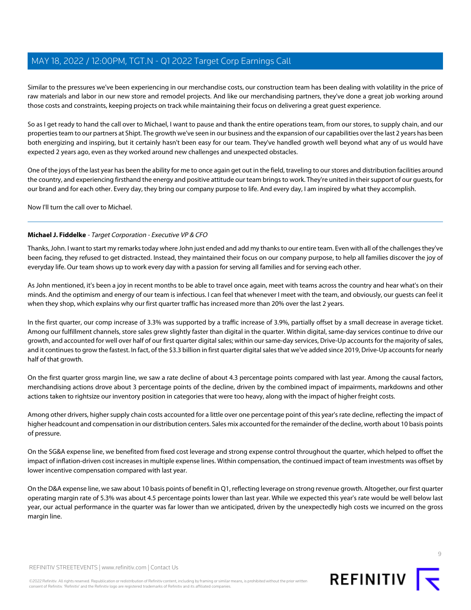Similar to the pressures we've been experiencing in our merchandise costs, our construction team has been dealing with volatility in the price of raw materials and labor in our new store and remodel projects. And like our merchandising partners, they've done a great job working around those costs and constraints, keeping projects on track while maintaining their focus on delivering a great guest experience.

So as I get ready to hand the call over to Michael, I want to pause and thank the entire operations team, from our stores, to supply chain, and our properties team to our partners at Shipt. The growth we've seen in our business and the expansion of our capabilities over the last 2 years has been both energizing and inspiring, but it certainly hasn't been easy for our team. They've handled growth well beyond what any of us would have expected 2 years ago, even as they worked around new challenges and unexpected obstacles.

One of the joys of the last year has been the ability for me to once again get out in the field, traveling to our stores and distribution facilities around the country, and experiencing firsthand the energy and positive attitude our team brings to work. They're united in their support of our guests, for our brand and for each other. Every day, they bring our company purpose to life. And every day, I am inspired by what they accomplish.

<span id="page-8-0"></span>Now I'll turn the call over to Michael.

### **Michael J. Fiddelke** - Target Corporation - Executive VP & CFO

Thanks, John. I want to start my remarks today where John just ended and add my thanks to our entire team. Even with all of the challenges they've been facing, they refused to get distracted. Instead, they maintained their focus on our company purpose, to help all families discover the joy of everyday life. Our team shows up to work every day with a passion for serving all families and for serving each other.

As John mentioned, it's been a joy in recent months to be able to travel once again, meet with teams across the country and hear what's on their minds. And the optimism and energy of our team is infectious. I can feel that whenever I meet with the team, and obviously, our guests can feel it when they shop, which explains why our first quarter traffic has increased more than 20% over the last 2 years.

In the first quarter, our comp increase of 3.3% was supported by a traffic increase of 3.9%, partially offset by a small decrease in average ticket. Among our fulfillment channels, store sales grew slightly faster than digital in the quarter. Within digital, same-day services continue to drive our growth, and accounted for well over half of our first quarter digital sales; within our same-day services, Drive-Up accounts for the majority of sales, and it continues to grow the fastest. In fact, of the \$3.3 billion in first quarter digital sales that we've added since 2019, Drive-Up accounts for nearly half of that growth.

On the first quarter gross margin line, we saw a rate decline of about 4.3 percentage points compared with last year. Among the causal factors, merchandising actions drove about 3 percentage points of the decline, driven by the combined impact of impairments, markdowns and other actions taken to rightsize our inventory position in categories that were too heavy, along with the impact of higher freight costs.

Among other drivers, higher supply chain costs accounted for a little over one percentage point of this year's rate decline, reflecting the impact of higher headcount and compensation in our distribution centers. Sales mix accounted for the remainder of the decline, worth about 10 basis points of pressure.

On the SG&A expense line, we benefited from fixed cost leverage and strong expense control throughout the quarter, which helped to offset the impact of inflation-driven cost increases in multiple expense lines. Within compensation, the continued impact of team investments was offset by lower incentive compensation compared with last year.

On the D&A expense line, we saw about 10 basis points of benefit in Q1, reflecting leverage on strong revenue growth. Altogether, our first quarter operating margin rate of 5.3% was about 4.5 percentage points lower than last year. While we expected this year's rate would be well below last year, our actual performance in the quarter was far lower than we anticipated, driven by the unexpectedly high costs we incurred on the gross margin line.



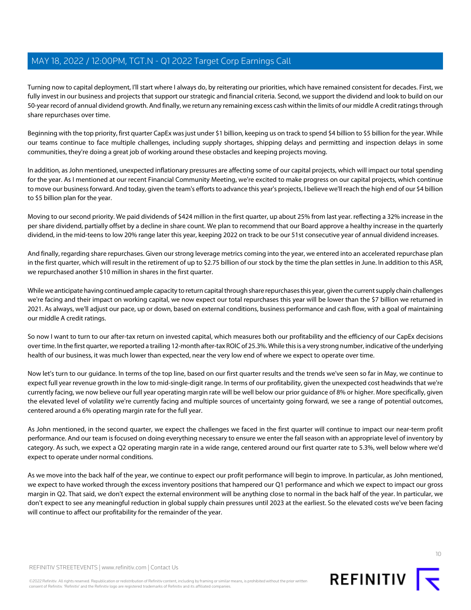Turning now to capital deployment, I'll start where I always do, by reiterating our priorities, which have remained consistent for decades. First, we fully invest in our business and projects that support our strategic and financial criteria. Second, we support the dividend and look to build on our 50-year record of annual dividend growth. And finally, we return any remaining excess cash within the limits of our middle A credit ratings through share repurchases over time.

Beginning with the top priority, first quarter CapEx was just under \$1 billion, keeping us on track to spend \$4 billion to \$5 billion for the year. While our teams continue to face multiple challenges, including supply shortages, shipping delays and permitting and inspection delays in some communities, they're doing a great job of working around these obstacles and keeping projects moving.

In addition, as John mentioned, unexpected inflationary pressures are affecting some of our capital projects, which will impact our total spending for the year. As I mentioned at our recent Financial Community Meeting, we're excited to make progress on our capital projects, which continue to move our business forward. And today, given the team's efforts to advance this year's projects, I believe we'll reach the high end of our \$4 billion to \$5 billion plan for the year.

Moving to our second priority. We paid dividends of \$424 million in the first quarter, up about 25% from last year. reflecting a 32% increase in the per share dividend, partially offset by a decline in share count. We plan to recommend that our Board approve a healthy increase in the quarterly dividend, in the mid-teens to low 20% range later this year, keeping 2022 on track to be our 51st consecutive year of annual dividend increases.

And finally, regarding share repurchases. Given our strong leverage metrics coming into the year, we entered into an accelerated repurchase plan in the first quarter, which will result in the retirement of up to \$2.75 billion of our stock by the time the plan settles in June. In addition to this ASR, we repurchased another \$10 million in shares in the first quarter.

While we anticipate having continued ample capacity to return capital through share repurchases this year, given the current supply chain challenges we're facing and their impact on working capital, we now expect our total repurchases this year will be lower than the \$7 billion we returned in 2021. As always, we'll adjust our pace, up or down, based on external conditions, business performance and cash flow, with a goal of maintaining our middle A credit ratings.

So now I want to turn to our after-tax return on invested capital, which measures both our profitability and the efficiency of our CapEx decisions over time. In the first quarter, we reported a trailing 12-month after-tax ROIC of 25.3%. While this is a very strong number, indicative of the underlying health of our business, it was much lower than expected, near the very low end of where we expect to operate over time.

Now let's turn to our guidance. In terms of the top line, based on our first quarter results and the trends we've seen so far in May, we continue to expect full year revenue growth in the low to mid-single-digit range. In terms of our profitability, given the unexpected cost headwinds that we're currently facing, we now believe our full year operating margin rate will be well below our prior guidance of 8% or higher. More specifically, given the elevated level of volatility we're currently facing and multiple sources of uncertainty going forward, we see a range of potential outcomes, centered around a 6% operating margin rate for the full year.

As John mentioned, in the second quarter, we expect the challenges we faced in the first quarter will continue to impact our near-term profit performance. And our team is focused on doing everything necessary to ensure we enter the fall season with an appropriate level of inventory by category. As such, we expect a Q2 operating margin rate in a wide range, centered around our first quarter rate to 5.3%, well below where we'd expect to operate under normal conditions.

As we move into the back half of the year, we continue to expect our profit performance will begin to improve. In particular, as John mentioned, we expect to have worked through the excess inventory positions that hampered our Q1 performance and which we expect to impact our gross margin in Q2. That said, we don't expect the external environment will be anything close to normal in the back half of the year. In particular, we don't expect to see any meaningful reduction in global supply chain pressures until 2023 at the earliest. So the elevated costs we've been facing will continue to affect our profitability for the remainder of the year.

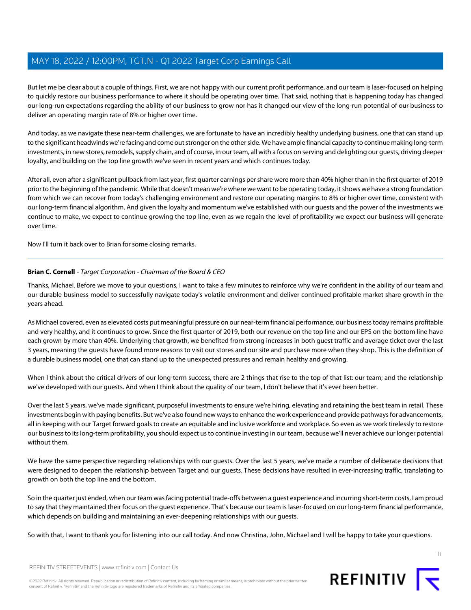But let me be clear about a couple of things. First, we are not happy with our current profit performance, and our team is laser-focused on helping to quickly restore our business performance to where it should be operating over time. That said, nothing that is happening today has changed our long-run expectations regarding the ability of our business to grow nor has it changed our view of the long-run potential of our business to deliver an operating margin rate of 8% or higher over time.

And today, as we navigate these near-term challenges, we are fortunate to have an incredibly healthy underlying business, one that can stand up to the significant headwinds we're facing and come out stronger on the other side. We have ample financial capacity to continue making long-term investments, in new stores, remodels, supply chain, and of course, in our team, all with a focus on serving and delighting our guests, driving deeper loyalty, and building on the top line growth we've seen in recent years and which continues today.

After all, even after a significant pullback from last year, first quarter earnings per share were more than 40% higher than in the first quarter of 2019 prior to the beginning of the pandemic. While that doesn't mean we're where we want to be operating today, it shows we have a strong foundation from which we can recover from today's challenging environment and restore our operating margins to 8% or higher over time, consistent with our long-term financial algorithm. And given the loyalty and momentum we've established with our guests and the power of the investments we continue to make, we expect to continue growing the top line, even as we regain the level of profitability we expect our business will generate over time.

Now I'll turn it back over to Brian for some closing remarks.

### **Brian C. Cornell** - Target Corporation - Chairman of the Board & CEO

Thanks, Michael. Before we move to your questions, I want to take a few minutes to reinforce why we're confident in the ability of our team and our durable business model to successfully navigate today's volatile environment and deliver continued profitable market share growth in the years ahead.

As Michael covered, even as elevated costs put meaningful pressure on our near-term financial performance, our business today remains profitable and very healthy, and it continues to grow. Since the first quarter of 2019, both our revenue on the top line and our EPS on the bottom line have each grown by more than 40%. Underlying that growth, we benefited from strong increases in both guest traffic and average ticket over the last 3 years, meaning the guests have found more reasons to visit our stores and our site and purchase more when they shop. This is the definition of a durable business model, one that can stand up to the unexpected pressures and remain healthy and growing.

When I think about the critical drivers of our long-term success, there are 2 things that rise to the top of that list: our team; and the relationship we've developed with our guests. And when I think about the quality of our team, I don't believe that it's ever been better.

Over the last 5 years, we've made significant, purposeful investments to ensure we're hiring, elevating and retaining the best team in retail. These investments begin with paying benefits. But we've also found new ways to enhance the work experience and provide pathways for advancements, all in keeping with our Target forward goals to create an equitable and inclusive workforce and workplace. So even as we work tirelessly to restore our business to its long-term profitability, you should expect us to continue investing in our team, because we'll never achieve our longer potential without them.

We have the same perspective regarding relationships with our guests. Over the last 5 years, we've made a number of deliberate decisions that were designed to deepen the relationship between Target and our guests. These decisions have resulted in ever-increasing traffic, translating to growth on both the top line and the bottom.

So in the quarter just ended, when our team was facing potential trade-offs between a guest experience and incurring short-term costs, I am proud to say that they maintained their focus on the guest experience. That's because our team is laser-focused on our long-term financial performance, which depends on building and maintaining an ever-deepening relationships with our guests.

So with that, I want to thank you for listening into our call today. And now Christina, John, Michael and I will be happy to take your questions.

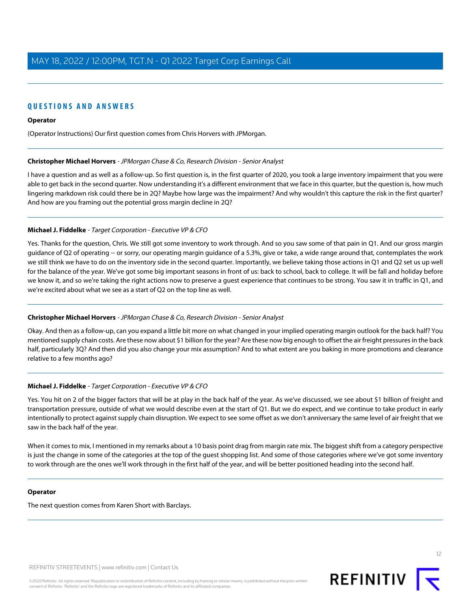### **QUESTIONS AND ANSWERS**

#### **Operator**

<span id="page-11-0"></span>(Operator Instructions) Our first question comes from Chris Horvers with JPMorgan.

#### **Christopher Michael Horvers** - JPMorgan Chase & Co, Research Division - Senior Analyst

I have a question and as well as a follow-up. So first question is, in the first quarter of 2020, you took a large inventory impairment that you were able to get back in the second quarter. Now understanding it's a different environment that we face in this quarter, but the question is, how much lingering markdown risk could there be in 2Q? Maybe how large was the impairment? And why wouldn't this capture the risk in the first quarter? And how are you framing out the potential gross margin decline in 2Q?

#### **Michael J. Fiddelke** - Target Corporation - Executive VP & CFO

Yes. Thanks for the question, Chris. We still got some inventory to work through. And so you saw some of that pain in Q1. And our gross margin guidance of Q2 of operating -- or sorry, our operating margin guidance of a 5.3%, give or take, a wide range around that, contemplates the work we still think we have to do on the inventory side in the second quarter. Importantly, we believe taking those actions in Q1 and Q2 set us up well for the balance of the year. We've got some big important seasons in front of us: back to school, back to college. It will be fall and holiday before we know it, and so we're taking the right actions now to preserve a guest experience that continues to be strong. You saw it in traffic in Q1, and we're excited about what we see as a start of Q2 on the top line as well.

#### **Christopher Michael Horvers** - JPMorgan Chase & Co, Research Division - Senior Analyst

Okay. And then as a follow-up, can you expand a little bit more on what changed in your implied operating margin outlook for the back half? You mentioned supply chain costs. Are these now about \$1 billion for the year? Are these now big enough to offset the air freight pressures in the back half, particularly 3Q? And then did you also change your mix assumption? And to what extent are you baking in more promotions and clearance relative to a few months ago?

#### **Michael J. Fiddelke** - Target Corporation - Executive VP & CFO

Yes. You hit on 2 of the bigger factors that will be at play in the back half of the year. As we've discussed, we see about \$1 billion of freight and transportation pressure, outside of what we would describe even at the start of Q1. But we do expect, and we continue to take product in early intentionally to protect against supply chain disruption. We expect to see some offset as we don't anniversary the same level of air freight that we saw in the back half of the year.

When it comes to mix, I mentioned in my remarks about a 10 basis point drag from margin rate mix. The biggest shift from a category perspective is just the change in some of the categories at the top of the guest shopping list. And some of those categories where we've got some inventory to work through are the ones we'll work through in the first half of the year, and will be better positioned heading into the second half.

#### **Operator**

The next question comes from Karen Short with Barclays.

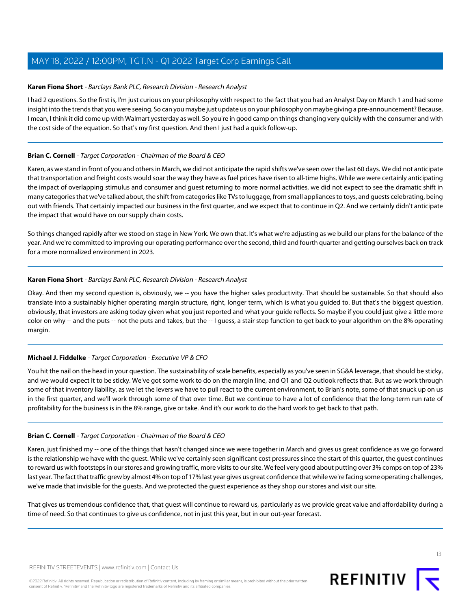### <span id="page-12-0"></span>**Karen Fiona Short** - Barclays Bank PLC, Research Division - Research Analyst

I had 2 questions. So the first is, I'm just curious on your philosophy with respect to the fact that you had an Analyst Day on March 1 and had some insight into the trends that you were seeing. So can you maybe just update us on your philosophy on maybe giving a pre-announcement? Because, I mean, I think it did come up with Walmart yesterday as well. So you're in good camp on things changing very quickly with the consumer and with the cost side of the equation. So that's my first question. And then I just had a quick follow-up.

### **Brian C. Cornell** - Target Corporation - Chairman of the Board & CEO

Karen, as we stand in front of you and others in March, we did not anticipate the rapid shifts we've seen over the last 60 days. We did not anticipate that transportation and freight costs would soar the way they have as fuel prices have risen to all-time highs. While we were certainly anticipating the impact of overlapping stimulus and consumer and guest returning to more normal activities, we did not expect to see the dramatic shift in many categories that we've talked about, the shift from categories like TVs to luggage, from small appliances to toys, and guests celebrating, being out with friends. That certainly impacted our business in the first quarter, and we expect that to continue in Q2. And we certainly didn't anticipate the impact that would have on our supply chain costs.

So things changed rapidly after we stood on stage in New York. We own that. It's what we're adjusting as we build our plans for the balance of the year. And we're committed to improving our operating performance over the second, third and fourth quarter and getting ourselves back on track for a more normalized environment in 2023.

### **Karen Fiona Short** - Barclays Bank PLC, Research Division - Research Analyst

Okay. And then my second question is, obviously, we -- you have the higher sales productivity. That should be sustainable. So that should also translate into a sustainably higher operating margin structure, right, longer term, which is what you guided to. But that's the biggest question, obviously, that investors are asking today given what you just reported and what your guide reflects. So maybe if you could just give a little more color on why -- and the puts -- not the puts and takes, but the -- I guess, a stair step function to get back to your algorithm on the 8% operating margin.

#### **Michael J. Fiddelke** - Target Corporation - Executive VP & CFO

You hit the nail on the head in your question. The sustainability of scale benefits, especially as you've seen in SG&A leverage, that should be sticky, and we would expect it to be sticky. We've got some work to do on the margin line, and Q1 and Q2 outlook reflects that. But as we work through some of that inventory liability, as we let the levers we have to pull react to the current environment, to Brian's note, some of that snuck up on us in the first quarter, and we'll work through some of that over time. But we continue to have a lot of confidence that the long-term run rate of profitability for the business is in the 8% range, give or take. And it's our work to do the hard work to get back to that path.

#### **Brian C. Cornell** - Target Corporation - Chairman of the Board & CEO

Karen, just finished my -- one of the things that hasn't changed since we were together in March and gives us great confidence as we go forward is the relationship we have with the guest. While we've certainly seen significant cost pressures since the start of this quarter, the guest continues to reward us with footsteps in our stores and growing traffic, more visits to our site. We feel very good about putting over 3% comps on top of 23% last year. The fact that traffic grew by almost 4% on top of 17% last year gives us great confidence that while we're facing some operating challenges, we've made that invisible for the guests. And we protected the guest experience as they shop our stores and visit our site.

That gives us tremendous confidence that, that guest will continue to reward us, particularly as we provide great value and affordability during a time of need. So that continues to give us confidence, not in just this year, but in our out-year forecast.

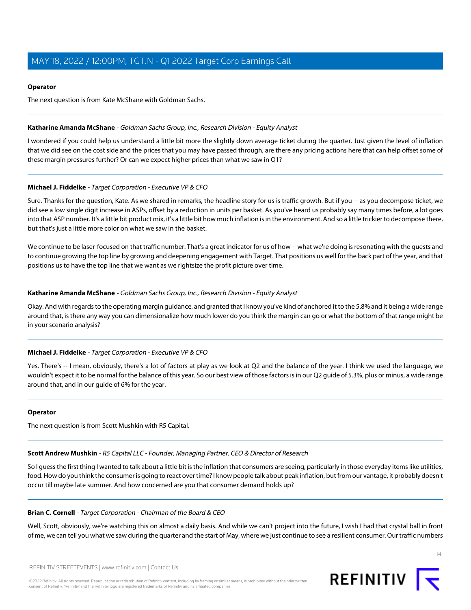#### **Operator**

The next question is from Kate McShane with Goldman Sachs.

#### <span id="page-13-0"></span>**Katharine Amanda McShane** - Goldman Sachs Group, Inc., Research Division - Equity Analyst

I wondered if you could help us understand a little bit more the slightly down average ticket during the quarter. Just given the level of inflation that we did see on the cost side and the prices that you may have passed through, are there any pricing actions here that can help offset some of these margin pressures further? Or can we expect higher prices than what we saw in Q1?

#### **Michael J. Fiddelke** - Target Corporation - Executive VP & CFO

Sure. Thanks for the question, Kate. As we shared in remarks, the headline story for us is traffic growth. But if you -- as you decompose ticket, we did see a low single digit increase in ASPs, offset by a reduction in units per basket. As you've heard us probably say many times before, a lot goes into that ASP number. It's a little bit product mix, it's a little bit how much inflation is in the environment. And so a little trickier to decompose there, but that's just a little more color on what we saw in the basket.

We continue to be laser-focused on that traffic number. That's a great indicator for us of how -- what we're doing is resonating with the guests and to continue growing the top line by growing and deepening engagement with Target. That positions us well for the back part of the year, and that positions us to have the top line that we want as we rightsize the profit picture over time.

#### **Katharine Amanda McShane** - Goldman Sachs Group, Inc., Research Division - Equity Analyst

Okay. And with regards to the operating margin guidance, and granted that I know you've kind of anchored it to the 5.8% and it being a wide range around that, is there any way you can dimensionalize how much lower do you think the margin can go or what the bottom of that range might be in your scenario analysis?

#### **Michael J. Fiddelke** - Target Corporation - Executive VP & CFO

Yes. There's -- I mean, obviously, there's a lot of factors at play as we look at Q2 and the balance of the year. I think we used the language, we wouldn't expect it to be normal for the balance of this year. So our best view of those factors is in our Q2 guide of 5.3%, plus or minus, a wide range around that, and in our guide of 6% for the year.

#### <span id="page-13-1"></span>**Operator**

The next question is from Scott Mushkin with R5 Capital.

#### **Scott Andrew Mushkin** - R5 Capital LLC - Founder, Managing Partner, CEO & Director of Research

So I guess the first thing I wanted to talk about a little bit is the inflation that consumers are seeing, particularly in those everyday items like utilities, food. How do you think the consumer is going to react over time? I know people talk about peak inflation, but from our vantage, it probably doesn't occur till maybe late summer. And how concerned are you that consumer demand holds up?

#### **Brian C. Cornell** - Target Corporation - Chairman of the Board & CEO

Well, Scott, obviously, we're watching this on almost a daily basis. And while we can't project into the future, I wish I had that crystal ball in front of me, we can tell you what we saw during the quarter and the start of May, where we just continue to see a resilient consumer. Our traffic numbers

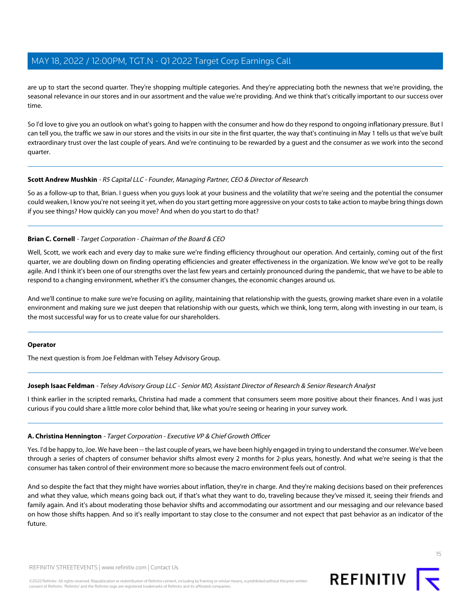are up to start the second quarter. They're shopping multiple categories. And they're appreciating both the newness that we're providing, the seasonal relevance in our stores and in our assortment and the value we're providing. And we think that's critically important to our success over time.

So I'd love to give you an outlook on what's going to happen with the consumer and how do they respond to ongoing inflationary pressure. But I can tell you, the traffic we saw in our stores and the visits in our site in the first quarter, the way that's continuing in May 1 tells us that we've built extraordinary trust over the last couple of years. And we're continuing to be rewarded by a guest and the consumer as we work into the second quarter.

#### **Scott Andrew Mushkin** - R5 Capital LLC - Founder, Managing Partner, CEO & Director of Research

So as a follow-up to that, Brian. I guess when you guys look at your business and the volatility that we're seeing and the potential the consumer could weaken, I know you're not seeing it yet, when do you start getting more aggressive on your costs to take action to maybe bring things down if you see things? How quickly can you move? And when do you start to do that?

#### **Brian C. Cornell** - Target Corporation - Chairman of the Board & CEO

Well, Scott, we work each and every day to make sure we're finding efficiency throughout our operation. And certainly, coming out of the first quarter, we are doubling down on finding operating efficiencies and greater effectiveness in the organization. We know we've got to be really agile. And I think it's been one of our strengths over the last few years and certainly pronounced during the pandemic, that we have to be able to respond to a changing environment, whether it's the consumer changes, the economic changes around us.

And we'll continue to make sure we're focusing on agility, maintaining that relationship with the guests, growing market share even in a volatile environment and making sure we just deepen that relationship with our guests, which we think, long term, along with investing in our team, is the most successful way for us to create value for our shareholders.

#### <span id="page-14-0"></span>**Operator**

The next question is from Joe Feldman with Telsey Advisory Group.

#### **Joseph Isaac Feldman** - Telsey Advisory Group LLC - Senior MD, Assistant Director of Research & Senior Research Analyst

I think earlier in the scripted remarks, Christina had made a comment that consumers seem more positive about their finances. And I was just curious if you could share a little more color behind that, like what you're seeing or hearing in your survey work.

#### **A. Christina Hennington** - Target Corporation - Executive VP & Chief Growth Officer

Yes. I'd be happy to, Joe. We have been -- the last couple of years, we have been highly engaged in trying to understand the consumer. We've been through a series of chapters of consumer behavior shifts almost every 2 months for 2-plus years, honestly. And what we're seeing is that the consumer has taken control of their environment more so because the macro environment feels out of control.

And so despite the fact that they might have worries about inflation, they're in charge. And they're making decisions based on their preferences and what they value, which means going back out, if that's what they want to do, traveling because they've missed it, seeing their friends and family again. And it's about moderating those behavior shifts and accommodating our assortment and our messaging and our relevance based on how those shifts happen. And so it's really important to stay close to the consumer and not expect that past behavior as an indicator of the future.



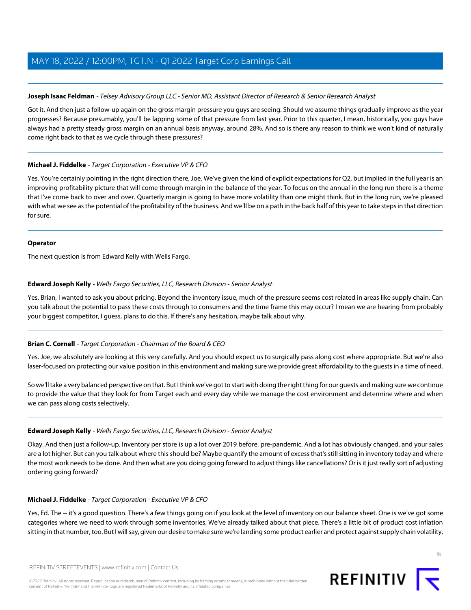#### **Joseph Isaac Feldman** - Telsey Advisory Group LLC - Senior MD, Assistant Director of Research & Senior Research Analyst

Got it. And then just a follow-up again on the gross margin pressure you guys are seeing. Should we assume things gradually improve as the year progresses? Because presumably, you'll be lapping some of that pressure from last year. Prior to this quarter, I mean, historically, you guys have always had a pretty steady gross margin on an annual basis anyway, around 28%. And so is there any reason to think we won't kind of naturally come right back to that as we cycle through these pressures?

#### **Michael J. Fiddelke** - Target Corporation - Executive VP & CFO

Yes. You're certainly pointing in the right direction there, Joe. We've given the kind of explicit expectations for Q2, but implied in the full year is an improving profitability picture that will come through margin in the balance of the year. To focus on the annual in the long run there is a theme that I've come back to over and over. Quarterly margin is going to have more volatility than one might think. But in the long run, we're pleased with what we see as the potential of the profitability of the business. And we'll be on a path in the back half of this year to take steps in that direction for sure.

#### **Operator**

<span id="page-15-0"></span>The next question is from Edward Kelly with Wells Fargo.

### **Edward Joseph Kelly** - Wells Fargo Securities, LLC, Research Division - Senior Analyst

Yes. Brian, I wanted to ask you about pricing. Beyond the inventory issue, much of the pressure seems cost related in areas like supply chain. Can you talk about the potential to pass these costs through to consumers and the time frame this may occur? I mean we are hearing from probably your biggest competitor, I guess, plans to do this. If there's any hesitation, maybe talk about why.

#### **Brian C. Cornell** - Target Corporation - Chairman of the Board & CEO

Yes. Joe, we absolutely are looking at this very carefully. And you should expect us to surgically pass along cost where appropriate. But we're also laser-focused on protecting our value position in this environment and making sure we provide great affordability to the guests in a time of need.

So we'll take a very balanced perspective on that. But I think we've got to start with doing the right thing for our guests and making sure we continue to provide the value that they look for from Target each and every day while we manage the cost environment and determine where and when we can pass along costs selectively.

#### **Edward Joseph Kelly** - Wells Fargo Securities, LLC, Research Division - Senior Analyst

Okay. And then just a follow-up. Inventory per store is up a lot over 2019 before, pre-pandemic. And a lot has obviously changed, and your sales are a lot higher. But can you talk about where this should be? Maybe quantify the amount of excess that's still sitting in inventory today and where the most work needs to be done. And then what are you doing going forward to adjust things like cancellations? Or is it just really sort of adjusting ordering going forward?

#### **Michael J. Fiddelke** - Target Corporation - Executive VP & CFO

Yes, Ed. The -- it's a good question. There's a few things going on if you look at the level of inventory on our balance sheet. One is we've got some categories where we need to work through some inventories. We've already talked about that piece. There's a little bit of product cost inflation sitting in that number, too. But I will say, given our desire to make sure we're landing some product earlier and protect against supply chain volatility,

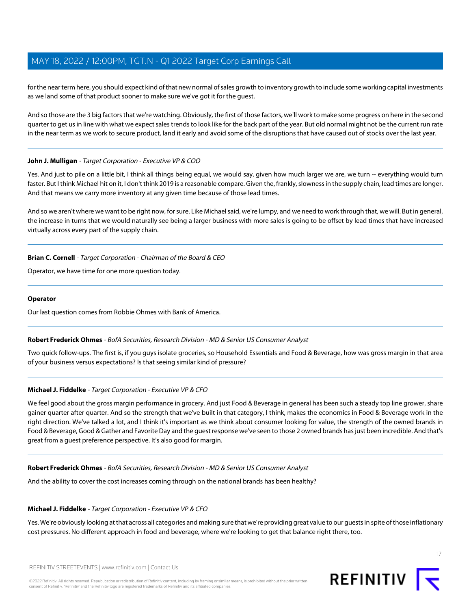for the near term here, you should expect kind of that new normal of sales growth to inventory growth to include some working capital investments as we land some of that product sooner to make sure we've got it for the guest.

And so those are the 3 big factors that we're watching. Obviously, the first of those factors, we'll work to make some progress on here in the second quarter to get us in line with what we expect sales trends to look like for the back part of the year. But old normal might not be the current run rate in the near term as we work to secure product, land it early and avoid some of the disruptions that have caused out of stocks over the last year.

#### **John J. Mulligan** - Target Corporation - Executive VP & COO

Yes. And just to pile on a little bit, I think all things being equal, we would say, given how much larger we are, we turn -- everything would turn faster. But I think Michael hit on it, I don't think 2019 is a reasonable compare. Given the, frankly, slowness in the supply chain, lead times are longer. And that means we carry more inventory at any given time because of those lead times.

And so we aren't where we want to be right now, for sure. Like Michael said, we're lumpy, and we need to work through that, we will. But in general, the increase in turns that we would naturally see being a larger business with more sales is going to be offset by lead times that have increased virtually across every part of the supply chain.

#### **Brian C. Cornell** - Target Corporation - Chairman of the Board & CEO

Operator, we have time for one more question today.

#### **Operator**

<span id="page-16-0"></span>Our last question comes from Robbie Ohmes with Bank of America.

#### **Robert Frederick Ohmes** - BofA Securities, Research Division - MD & Senior US Consumer Analyst

Two quick follow-ups. The first is, if you guys isolate groceries, so Household Essentials and Food & Beverage, how was gross margin in that area of your business versus expectations? Is that seeing similar kind of pressure?

#### **Michael J. Fiddelke** - Target Corporation - Executive VP & CFO

We feel good about the gross margin performance in grocery. And just Food & Beverage in general has been such a steady top line grower, share gainer quarter after quarter. And so the strength that we've built in that category, I think, makes the economics in Food & Beverage work in the right direction. We've talked a lot, and I think it's important as we think about consumer looking for value, the strength of the owned brands in Food & Beverage, Good & Gather and Favorite Day and the guest response we've seen to those 2 owned brands has just been incredible. And that's great from a guest preference perspective. It's also good for margin.

#### **Robert Frederick Ohmes** - BofA Securities, Research Division - MD & Senior US Consumer Analyst

And the ability to cover the cost increases coming through on the national brands has been healthy?

#### **Michael J. Fiddelke** - Target Corporation - Executive VP & CFO

Yes. We're obviously looking at that across all categories and making sure that we're providing great value to our guests in spite of those inflationary cost pressures. No different approach in food and beverage, where we're looking to get that balance right there, too.



17